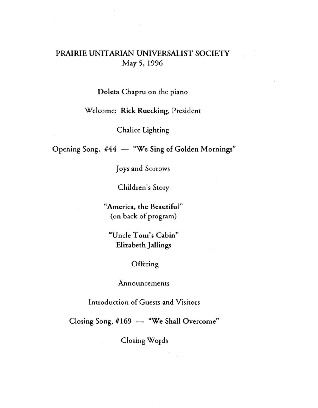# PRAIRIE UNITARIAN UNIVERSALIST SOCIETY May 5, 1996

### Doleta Chapru on the piano

## Welcome: Rick Ruecking, President

Chalice Lighting

Opening Song, #44 - "We Sing of Golden Mornings"

Joys and Sorrows

Children's Story

"America, the Beautiful" (on back of program)

**"Uncle Tom's Cabin"**  Elizabeth Jallings

## **Offering**

#### **Announcements**

Introduction of Guests and Visitors

Closing Song, #169 - "We Shall Overcome"

Closing Words